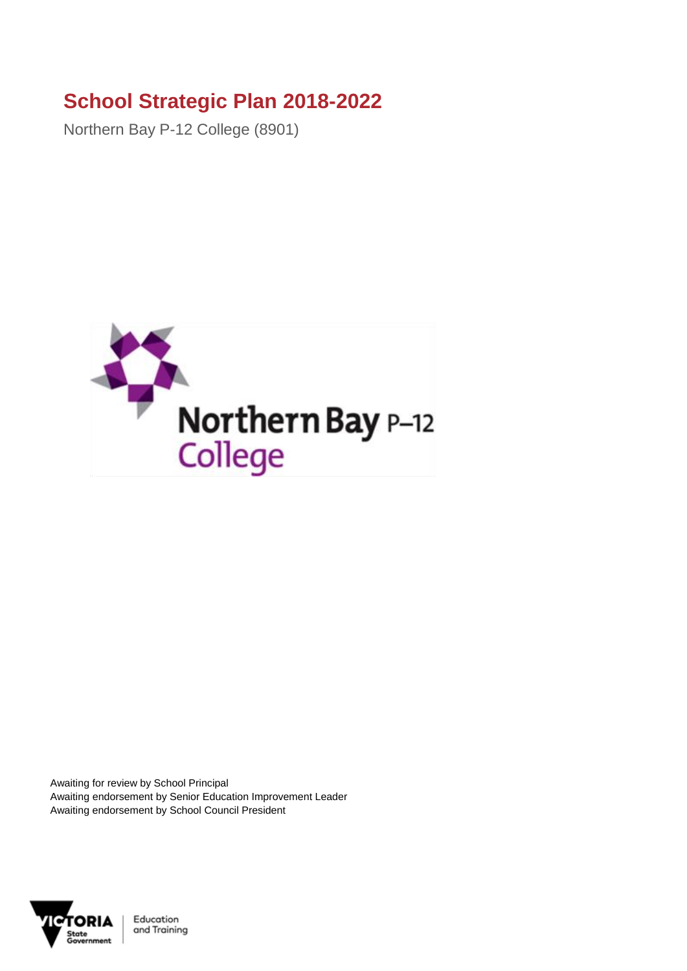## **School Strategic Plan 2018-2022**

Northern Bay P-12 College (8901)



Awaiting for review by School Principal Awaiting endorsement by Senior Education Improvement Leader Awaiting endorsement by School Council President

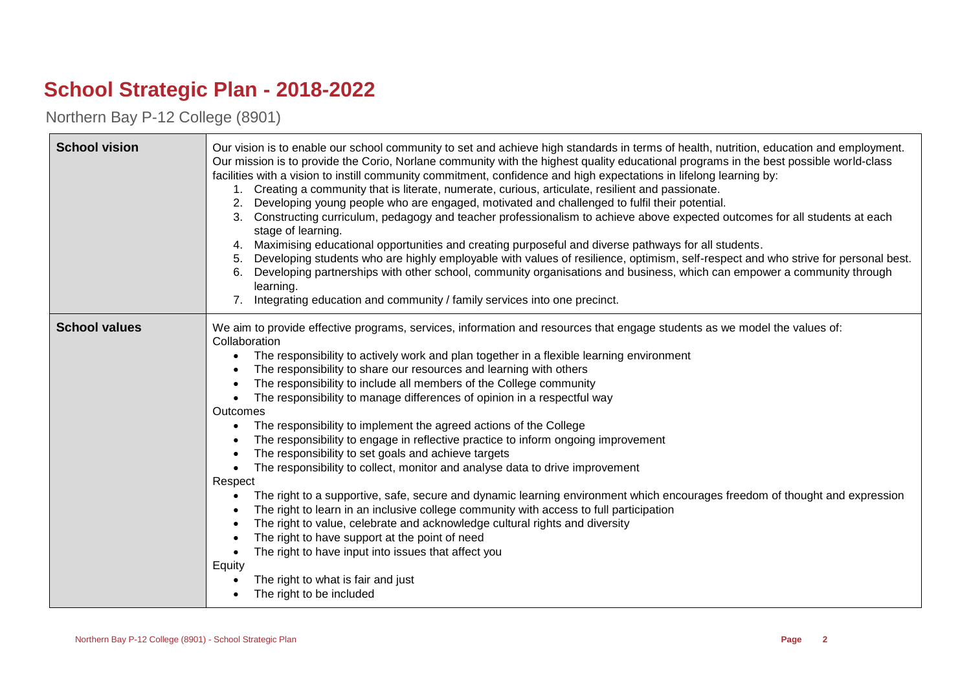## **School Strategic Plan - 2018-2022**

Northern Bay P-12 College (8901)

| <b>School vision</b> | Our vision is to enable our school community to set and achieve high standards in terms of health, nutrition, education and employment.<br>Our mission is to provide the Corio, Norlane community with the highest quality educational programs in the best possible world-class<br>facilities with a vision to instill community commitment, confidence and high expectations in lifelong learning by:<br>Creating a community that is literate, numerate, curious, articulate, resilient and passionate.<br>Developing young people who are engaged, motivated and challenged to fulfil their potential.<br>2.<br>Constructing curriculum, pedagogy and teacher professionalism to achieve above expected outcomes for all students at each<br>3.<br>stage of learning.<br>Maximising educational opportunities and creating purposeful and diverse pathways for all students.<br>Developing students who are highly employable with values of resilience, optimism, self-respect and who strive for personal best.<br>Developing partnerships with other school, community organisations and business, which can empower a community through<br>6.<br>learning.<br>Integrating education and community / family services into one precinct.                                     |
|----------------------|------------------------------------------------------------------------------------------------------------------------------------------------------------------------------------------------------------------------------------------------------------------------------------------------------------------------------------------------------------------------------------------------------------------------------------------------------------------------------------------------------------------------------------------------------------------------------------------------------------------------------------------------------------------------------------------------------------------------------------------------------------------------------------------------------------------------------------------------------------------------------------------------------------------------------------------------------------------------------------------------------------------------------------------------------------------------------------------------------------------------------------------------------------------------------------------------------------------------------------------------------------------------------------|
| <b>School values</b> | We aim to provide effective programs, services, information and resources that engage students as we model the values of:<br>Collaboration<br>The responsibility to actively work and plan together in a flexible learning environment<br>The responsibility to share our resources and learning with others<br>The responsibility to include all members of the College community<br>The responsibility to manage differences of opinion in a respectful way<br>Outcomes<br>The responsibility to implement the agreed actions of the College<br>The responsibility to engage in reflective practice to inform ongoing improvement<br>The responsibility to set goals and achieve targets<br>The responsibility to collect, monitor and analyse data to drive improvement<br>Respect<br>The right to a supportive, safe, secure and dynamic learning environment which encourages freedom of thought and expression<br>The right to learn in an inclusive college community with access to full participation<br>The right to value, celebrate and acknowledge cultural rights and diversity<br>The right to have support at the point of need<br>The right to have input into issues that affect you<br>Equity<br>The right to what is fair and just<br>The right to be included |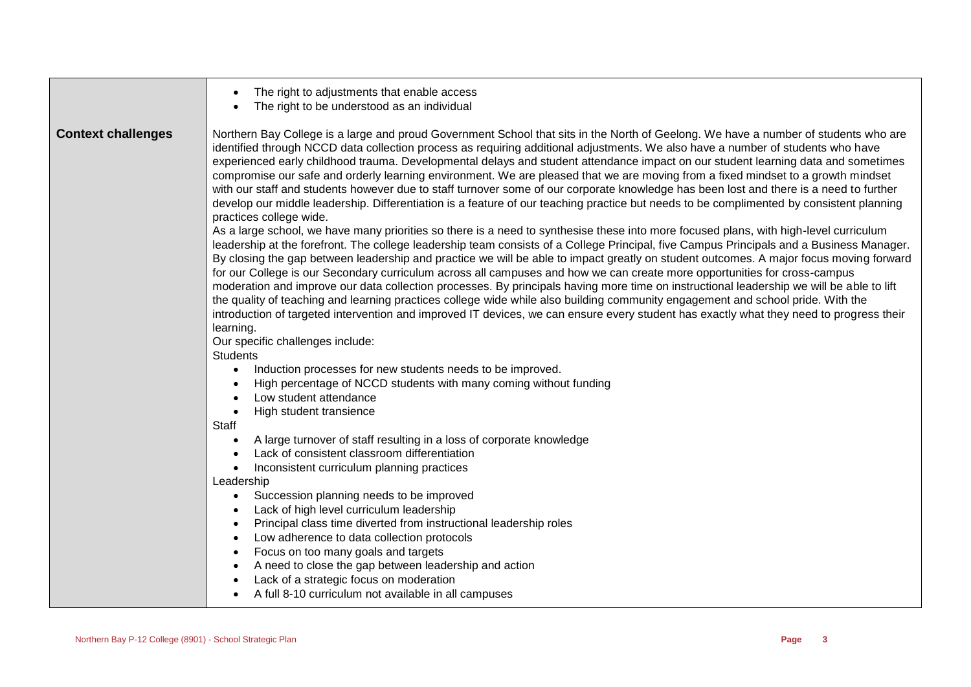|                           | The right to adjustments that enable access<br>The right to be understood as an individual                                                                                                                                                                                                                                                                                                                                                                                                                                                                                                                                                                                                                                                                                                                                                                                                                                                                                                                                                                                                                                                                                                                                                                                                                                                                                                                                                                                                                                                                                                                                                                                                                                                                                                                                                                                                                                                                                                                                                                                                                                                                                                                                                                                                                                                                                                                                                                                                                                                                                                                                                                                                                                    |
|---------------------------|-------------------------------------------------------------------------------------------------------------------------------------------------------------------------------------------------------------------------------------------------------------------------------------------------------------------------------------------------------------------------------------------------------------------------------------------------------------------------------------------------------------------------------------------------------------------------------------------------------------------------------------------------------------------------------------------------------------------------------------------------------------------------------------------------------------------------------------------------------------------------------------------------------------------------------------------------------------------------------------------------------------------------------------------------------------------------------------------------------------------------------------------------------------------------------------------------------------------------------------------------------------------------------------------------------------------------------------------------------------------------------------------------------------------------------------------------------------------------------------------------------------------------------------------------------------------------------------------------------------------------------------------------------------------------------------------------------------------------------------------------------------------------------------------------------------------------------------------------------------------------------------------------------------------------------------------------------------------------------------------------------------------------------------------------------------------------------------------------------------------------------------------------------------------------------------------------------------------------------------------------------------------------------------------------------------------------------------------------------------------------------------------------------------------------------------------------------------------------------------------------------------------------------------------------------------------------------------------------------------------------------------------------------------------------------------------------------------------------------|
| <b>Context challenges</b> | Northern Bay College is a large and proud Government School that sits in the North of Geelong. We have a number of students who are<br>identified through NCCD data collection process as requiring additional adjustments. We also have a number of students who have<br>experienced early childhood trauma. Developmental delays and student attendance impact on our student learning data and sometimes<br>compromise our safe and orderly learning environment. We are pleased that we are moving from a fixed mindset to a growth mindset<br>with our staff and students however due to staff turnover some of our corporate knowledge has been lost and there is a need to further<br>develop our middle leadership. Differentiation is a feature of our teaching practice but needs to be complimented by consistent planning<br>practices college wide.<br>As a large school, we have many priorities so there is a need to synthesise these into more focused plans, with high-level curriculum<br>leadership at the forefront. The college leadership team consists of a College Principal, five Campus Principals and a Business Manager.<br>By closing the gap between leadership and practice we will be able to impact greatly on student outcomes. A major focus moving forward<br>for our College is our Secondary curriculum across all campuses and how we can create more opportunities for cross-campus<br>moderation and improve our data collection processes. By principals having more time on instructional leadership we will be able to lift<br>the quality of teaching and learning practices college wide while also building community engagement and school pride. With the<br>introduction of targeted intervention and improved IT devices, we can ensure every student has exactly what they need to progress their<br>learning.<br>Our specific challenges include:<br><b>Students</b><br>Induction processes for new students needs to be improved.<br>High percentage of NCCD students with many coming without funding<br>Low student attendance<br>High student transience<br>Staff<br>A large turnover of staff resulting in a loss of corporate knowledge<br>Lack of consistent classroom differentiation<br>Inconsistent curriculum planning practices<br>Leadership<br>Succession planning needs to be improved<br>Lack of high level curriculum leadership<br>Principal class time diverted from instructional leadership roles<br>Low adherence to data collection protocols<br>Focus on too many goals and targets<br>A need to close the gap between leadership and action<br>Lack of a strategic focus on moderation<br>A full 8-10 curriculum not available in all campuses |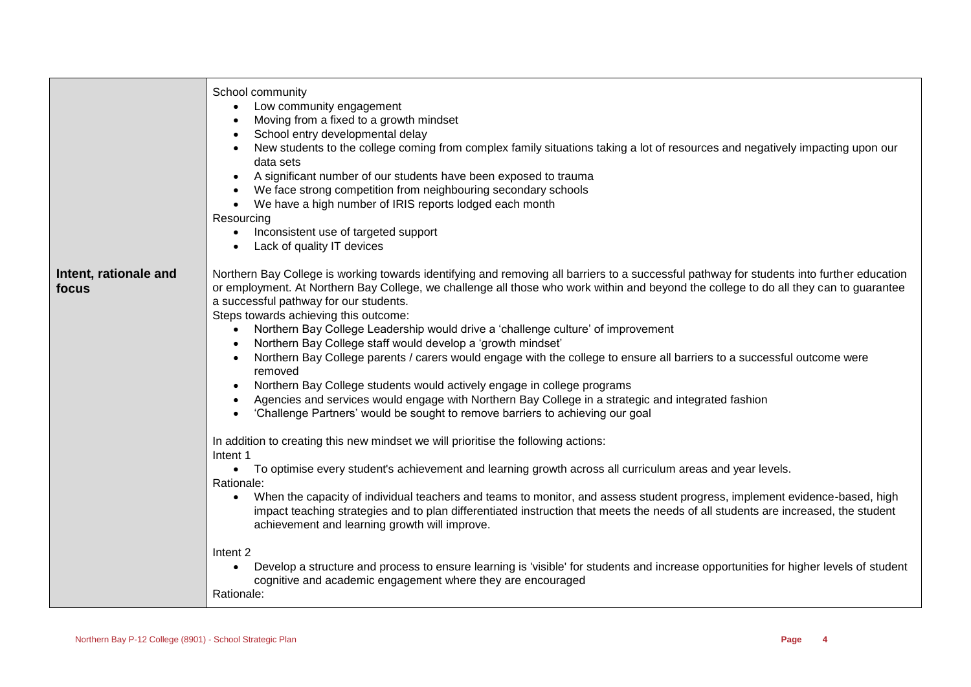|                                | School community<br>Low community engagement<br>Moving from a fixed to a growth mindset<br>School entry developmental delay<br>New students to the college coming from complex family situations taking a lot of resources and negatively impacting upon our<br>data sets<br>A significant number of our students have been exposed to trauma<br>We face strong competition from neighbouring secondary schools<br>We have a high number of IRIS reports lodged each month<br>Resourcing<br>Inconsistent use of targeted support<br>Lack of quality IT devices                                                                                                                                                                                                                                                                                                                                                                                                                                                                      |
|--------------------------------|-------------------------------------------------------------------------------------------------------------------------------------------------------------------------------------------------------------------------------------------------------------------------------------------------------------------------------------------------------------------------------------------------------------------------------------------------------------------------------------------------------------------------------------------------------------------------------------------------------------------------------------------------------------------------------------------------------------------------------------------------------------------------------------------------------------------------------------------------------------------------------------------------------------------------------------------------------------------------------------------------------------------------------------|
| Intent, rationale and<br>focus | Northern Bay College is working towards identifying and removing all barriers to a successful pathway for students into further education<br>or employment. At Northern Bay College, we challenge all those who work within and beyond the college to do all they can to guarantee<br>a successful pathway for our students.<br>Steps towards achieving this outcome:<br>Northern Bay College Leadership would drive a 'challenge culture' of improvement<br>$\bullet$<br>Northern Bay College staff would develop a 'growth mindset'<br>Northern Bay College parents / carers would engage with the college to ensure all barriers to a successful outcome were<br>removed<br>Northern Bay College students would actively engage in college programs<br>Agencies and services would engage with Northern Bay College in a strategic and integrated fashion<br>'Challenge Partners' would be sought to remove barriers to achieving our goal<br>In addition to creating this new mindset we will prioritise the following actions: |
|                                | Intent 1<br>• To optimise every student's achievement and learning growth across all curriculum areas and year levels.<br>Rationale:<br>When the capacity of individual teachers and teams to monitor, and assess student progress, implement evidence-based, high<br>$\bullet$<br>impact teaching strategies and to plan differentiated instruction that meets the needs of all students are increased, the student<br>achievement and learning growth will improve.                                                                                                                                                                                                                                                                                                                                                                                                                                                                                                                                                               |
|                                | Intent <sub>2</sub><br>Develop a structure and process to ensure learning is 'visible' for students and increase opportunities for higher levels of student<br>$\bullet$<br>cognitive and academic engagement where they are encouraged<br>Rationale:                                                                                                                                                                                                                                                                                                                                                                                                                                                                                                                                                                                                                                                                                                                                                                               |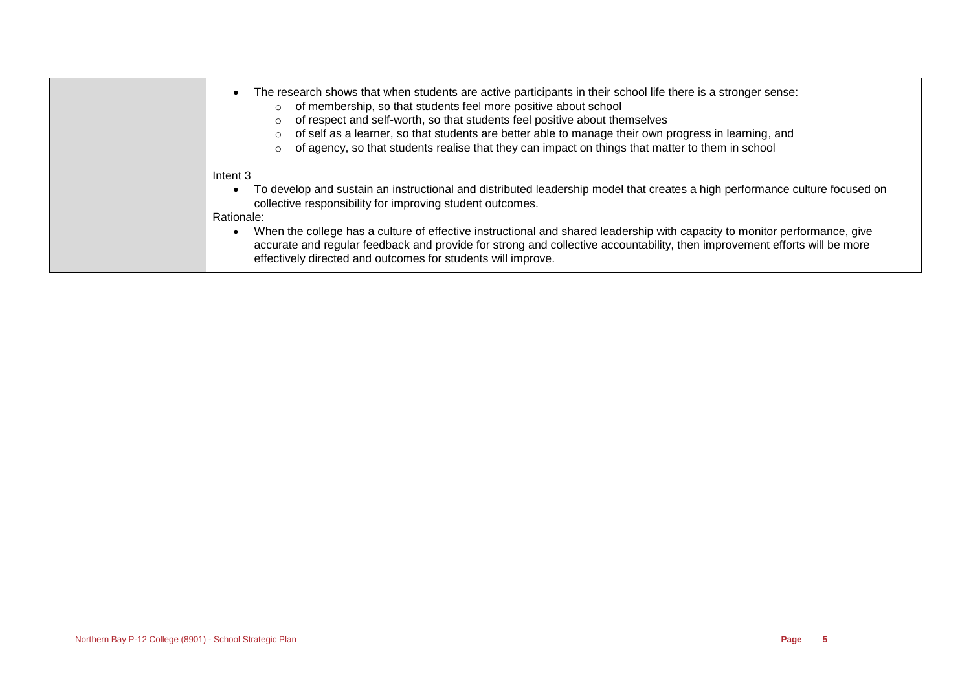| The research shows that when students are active participants in their school life there is a stronger sense:<br>of membership, so that students feel more positive about school<br>$\circ$<br>of respect and self-worth, so that students feel positive about themselves<br>of self as a learner, so that students are better able to manage their own progress in learning, and<br>of agency, so that students realise that they can impact on things that matter to them in school                                                         |
|-----------------------------------------------------------------------------------------------------------------------------------------------------------------------------------------------------------------------------------------------------------------------------------------------------------------------------------------------------------------------------------------------------------------------------------------------------------------------------------------------------------------------------------------------|
| Intent 3<br>To develop and sustain an instructional and distributed leadership model that creates a high performance culture focused on<br>collective responsibility for improving student outcomes.<br>Rationale:<br>When the college has a culture of effective instructional and shared leadership with capacity to monitor performance, give<br>accurate and regular feedback and provide for strong and collective accountability, then improvement efforts will be more<br>effectively directed and outcomes for students will improve. |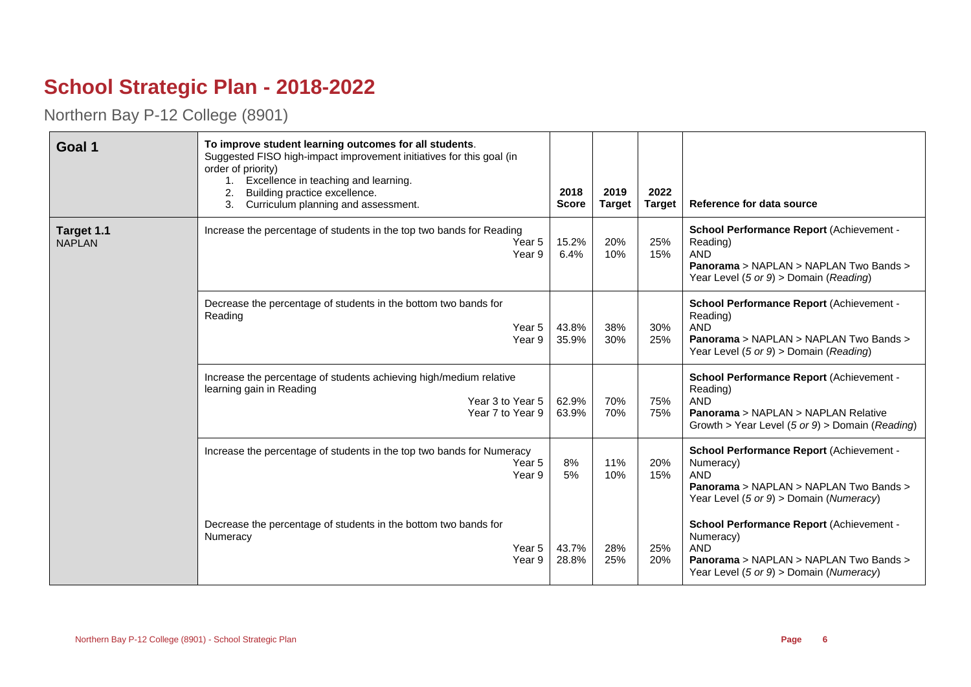## **School Strategic Plan - 2018-2022**

Northern Bay P-12 College (8901)

| Goal 1                      | To improve student learning outcomes for all students.<br>Suggested FISO high-impact improvement initiatives for this goal (in<br>order of priority)<br>1. Excellence in teaching and learning.<br>Building practice excellence.<br>2.<br>Curriculum planning and assessment.<br>3. | 2018<br><b>Score</b> | 2019<br><b>Target</b> | 2022<br><b>Target</b> | Reference for data source                                                                                                                                                            |
|-----------------------------|-------------------------------------------------------------------------------------------------------------------------------------------------------------------------------------------------------------------------------------------------------------------------------------|----------------------|-----------------------|-----------------------|--------------------------------------------------------------------------------------------------------------------------------------------------------------------------------------|
| Target 1.1<br><b>NAPLAN</b> | Increase the percentage of students in the top two bands for Reading<br>Year 5<br>Year 9                                                                                                                                                                                            | 15.2%<br>6.4%        | 20%<br>10%            | 25%<br>15%            | School Performance Report (Achievement -<br>Reading)<br><b>AND</b><br>Panorama > NAPLAN > NAPLAN Two Bands ><br>Year Level $(5 \text{ or } 9)$ > Domain (Reading)                    |
|                             | Decrease the percentage of students in the bottom two bands for<br>Reading<br>Year 5<br>Year 9                                                                                                                                                                                      | 43.8%<br>35.9%       | 38%<br>30%            | 30%<br>25%            | School Performance Report (Achievement -<br>Reading)<br><b>AND</b><br>Panorama > NAPLAN > NAPLAN Two Bands ><br>Year Level $(5 \text{ or } 9)$ > Domain (Reading)                    |
|                             | Increase the percentage of students achieving high/medium relative<br>learning gain in Reading<br>Year 3 to Year 5<br>Year 7 to Year 9                                                                                                                                              | 62.9%<br>63.9%       | 70%<br>70%            | 75%<br>75%            | School Performance Report (Achievement -<br>Reading)<br><b>AND</b><br><b>Panorama &gt; NAPLAN &gt; NAPLAN Relative</b><br>Growth > Year Level $(5 \text{ or } 9)$ > Domain (Reading) |
|                             | Increase the percentage of students in the top two bands for Numeracy<br>Year 5<br>Year 9                                                                                                                                                                                           | 8%<br>5%             | 11%<br>10%            | 20%<br>15%            | School Performance Report (Achievement -<br>Numeracy)<br><b>AND</b><br>Panorama > NAPLAN > NAPLAN Two Bands ><br>Year Level (5 or 9) > Domain (Numeracy)                             |
|                             | Decrease the percentage of students in the bottom two bands for<br>Numeracy<br>Year 5<br>Year 9                                                                                                                                                                                     | 43.7%<br>28.8%       | 28%<br>25%            | 25%<br>20%            | School Performance Report (Achievement -<br>Numeracy)<br><b>AND</b><br><b>Panorama &gt; NAPLAN &gt; NAPLAN Two Bands &gt;</b><br>Year Level (5 or 9) > Domain (Numeracy)             |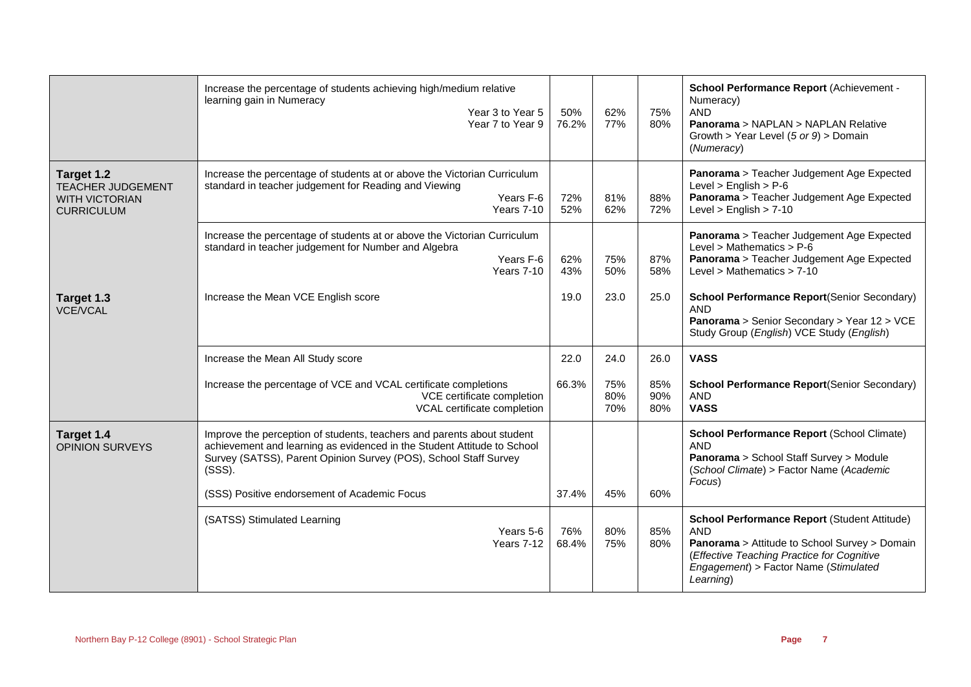|                                                                                      | Increase the percentage of students achieving high/medium relative<br>learning gain in Numeracy<br>Year 3 to Year 5<br>Year 7 to Year 9                                                                                         | 50%<br>76.2% | 62%<br>77%        | 75%<br>80%        | School Performance Report (Achievement -<br>Numeracy)<br><b>AND</b><br>Panorama > NAPLAN > NAPLAN Relative<br>Growth > Year Level (5 or 9) > Domain<br>(Numeracy)                                                      |
|--------------------------------------------------------------------------------------|---------------------------------------------------------------------------------------------------------------------------------------------------------------------------------------------------------------------------------|--------------|-------------------|-------------------|------------------------------------------------------------------------------------------------------------------------------------------------------------------------------------------------------------------------|
| Target 1.2<br><b>TEACHER JUDGEMENT</b><br><b>WITH VICTORIAN</b><br><b>CURRICULUM</b> | Increase the percentage of students at or above the Victorian Curriculum<br>standard in teacher judgement for Reading and Viewing<br>Years F-6<br>Years 7-10                                                                    | 72%<br>52%   | 81%<br>62%        | 88%<br>72%        | Panorama > Teacher Judgement Age Expected<br>Level $>$ English $>$ P-6<br>Panorama > Teacher Judgement Age Expected<br>Level $>$ English $>$ 7-10                                                                      |
|                                                                                      | Increase the percentage of students at or above the Victorian Curriculum<br>standard in teacher judgement for Number and Algebra<br>Years F-6<br><b>Years 7-10</b>                                                              | 62%<br>43%   | 75%<br>50%        | 87%<br>58%        | Panorama > Teacher Judgement Age Expected<br>Level > Mathematics > $P-6$<br>Panorama > Teacher Judgement Age Expected<br>Level > Mathematics $> 7-10$                                                                  |
| Target 1.3<br><b>VCE/VCAL</b>                                                        | Increase the Mean VCE English score                                                                                                                                                                                             | 19.0         | 23.0              | 25.0              | <b>School Performance Report(Senior Secondary)</b><br>AND<br>Panorama > Senior Secondary > Year 12 > VCE<br>Study Group (English) VCE Study (English)                                                                  |
|                                                                                      | Increase the Mean All Study score                                                                                                                                                                                               | 22.0         | 24.0              | 26.0              | <b>VASS</b>                                                                                                                                                                                                            |
|                                                                                      | Increase the percentage of VCE and VCAL certificate completions<br>VCE certificate completion<br>VCAL certificate completion                                                                                                    | 66.3%        | 75%<br>80%<br>70% | 85%<br>90%<br>80% | <b>School Performance Report(Senior Secondary)</b><br><b>AND</b><br><b>VASS</b>                                                                                                                                        |
| Target 1.4<br><b>OPINION SURVEYS</b>                                                 | Improve the perception of students, teachers and parents about student<br>achievement and learning as evidenced in the Student Attitude to School<br>Survey (SATSS), Parent Opinion Survey (POS), School Staff Survey<br>(SSS). |              |                   |                   | School Performance Report (School Climate)<br><b>AND</b><br>Panorama > School Staff Survey > Module<br>(School Climate) > Factor Name (Academic<br>Focus)                                                              |
|                                                                                      | (SSS) Positive endorsement of Academic Focus                                                                                                                                                                                    | 37.4%        | 45%               | 60%               |                                                                                                                                                                                                                        |
|                                                                                      | (SATSS) Stimulated Learning<br>Years 5-6<br>Years 7-12                                                                                                                                                                          | 76%<br>68.4% | 80%<br>75%        | 85%<br>80%        | <b>School Performance Report (Student Attitude)</b><br><b>AND</b><br>Panorama > Attitude to School Survey > Domain<br>(Effective Teaching Practice for Cognitive<br>Engagement) > Factor Name (Stimulated<br>Learning) |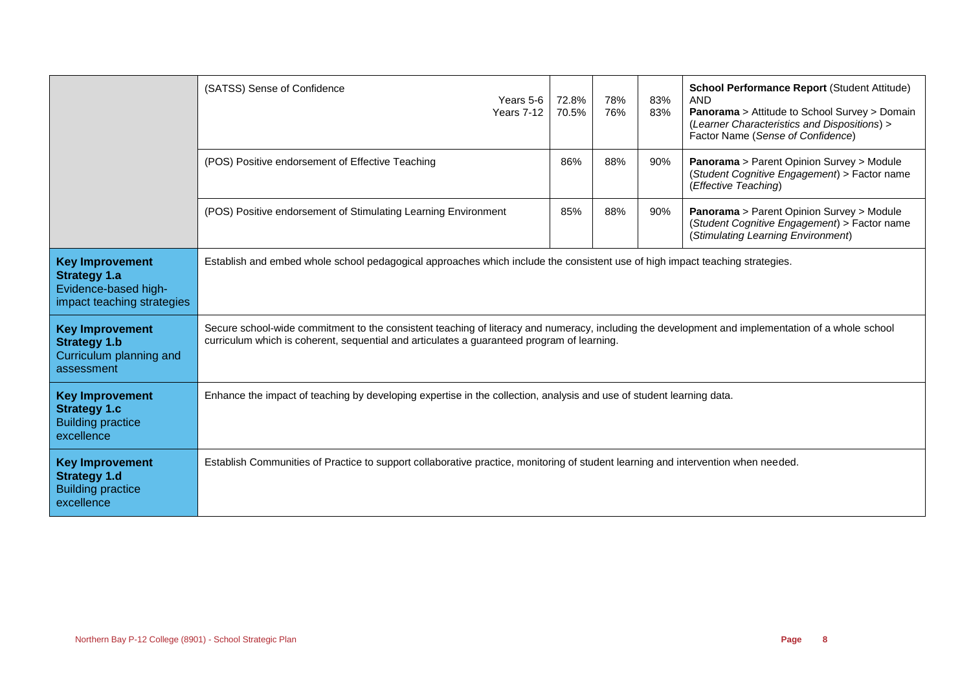|                                                                                                     | (SATSS) Sense of Confidence<br>Years 5-6<br>Years 7-12                                                                                                                                                                                          | 72.8%<br>70.5% | 78%<br>76% | 83%<br>83% | <b>School Performance Report (Student Attitude)</b><br><b>AND</b><br>Panorama > Attitude to School Survey > Domain<br>(Learner Characteristics and Dispositions) ><br>Factor Name (Sense of Confidence) |  |
|-----------------------------------------------------------------------------------------------------|-------------------------------------------------------------------------------------------------------------------------------------------------------------------------------------------------------------------------------------------------|----------------|------------|------------|---------------------------------------------------------------------------------------------------------------------------------------------------------------------------------------------------------|--|
|                                                                                                     | (POS) Positive endorsement of Effective Teaching                                                                                                                                                                                                | 86%            | 88%        | 90%        | Panorama > Parent Opinion Survey > Module<br>(Student Cognitive Engagement) > Factor name<br>(Effective Teaching)                                                                                       |  |
|                                                                                                     | (POS) Positive endorsement of Stimulating Learning Environment                                                                                                                                                                                  | 85%            | 88%        | 90%        | Panorama > Parent Opinion Survey > Module<br>(Student Cognitive Engagement) > Factor name<br>(Stimulating Learning Environment)                                                                         |  |
| <b>Key Improvement</b><br><b>Strategy 1.a</b><br>Evidence-based high-<br>impact teaching strategies | Establish and embed whole school pedagogical approaches which include the consistent use of high impact teaching strategies.                                                                                                                    |                |            |            |                                                                                                                                                                                                         |  |
| <b>Key Improvement</b><br><b>Strategy 1.b</b><br>Curriculum planning and<br>assessment              | Secure school-wide commitment to the consistent teaching of literacy and numeracy, including the development and implementation of a whole school<br>curriculum which is coherent, sequential and articulates a guaranteed program of learning. |                |            |            |                                                                                                                                                                                                         |  |
| <b>Key Improvement</b><br><b>Strategy 1.c</b><br><b>Building practice</b><br>excellence             | Enhance the impact of teaching by developing expertise in the collection, analysis and use of student learning data.                                                                                                                            |                |            |            |                                                                                                                                                                                                         |  |
| <b>Key Improvement</b><br><b>Strategy 1.d</b><br><b>Building practice</b><br>excellence             | Establish Communities of Practice to support collaborative practice, monitoring of student learning and intervention when needed.                                                                                                               |                |            |            |                                                                                                                                                                                                         |  |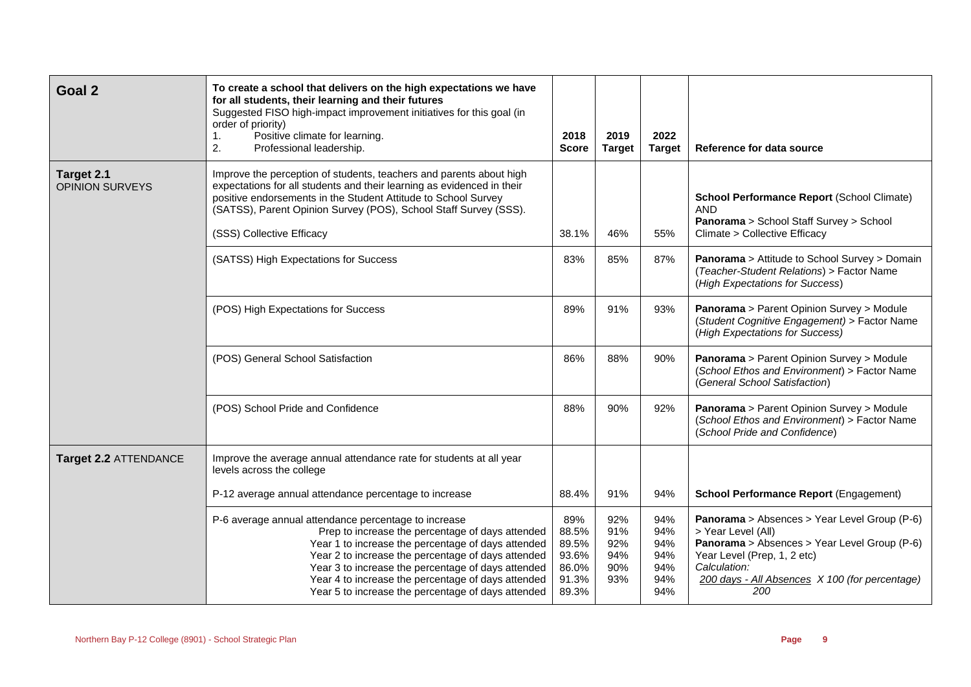| Goal 2                               | To create a school that delivers on the high expectations we have<br>for all students, their learning and their futures<br>Suggested FISO high-impact improvement initiatives for this goal (in<br>order of priority)<br>Positive climate for learning.<br>1.<br>2.<br>Professional leadership.                                                                                        | 2018<br><b>Score</b>                                      | 2019<br><b>Target</b>                  | 2022<br><b>Target</b>                         | Reference for data source                                                                                                                                                                                                  |
|--------------------------------------|----------------------------------------------------------------------------------------------------------------------------------------------------------------------------------------------------------------------------------------------------------------------------------------------------------------------------------------------------------------------------------------|-----------------------------------------------------------|----------------------------------------|-----------------------------------------------|----------------------------------------------------------------------------------------------------------------------------------------------------------------------------------------------------------------------------|
| Target 2.1<br><b>OPINION SURVEYS</b> | Improve the perception of students, teachers and parents about high<br>expectations for all students and their learning as evidenced in their<br>positive endorsements in the Student Attitude to School Survey<br>(SATSS), Parent Opinion Survey (POS), School Staff Survey (SSS).<br>(SSS) Collective Efficacy                                                                       | 38.1%                                                     | 46%                                    | 55%                                           | <b>School Performance Report (School Climate)</b><br><b>AND</b><br>Panorama > School Staff Survey > School<br>Climate > Collective Efficacy                                                                                |
|                                      | (SATSS) High Expectations for Success                                                                                                                                                                                                                                                                                                                                                  | 83%                                                       | 85%                                    | 87%                                           | Panorama > Attitude to School Survey > Domain<br>(Teacher-Student Relations) > Factor Name<br>(High Expectations for Success)                                                                                              |
|                                      | (POS) High Expectations for Success                                                                                                                                                                                                                                                                                                                                                    | 89%                                                       | 91%                                    | 93%                                           | Panorama > Parent Opinion Survey > Module<br>(Student Cognitive Engagement) > Factor Name<br>(High Expectations for Success)                                                                                               |
|                                      | (POS) General School Satisfaction                                                                                                                                                                                                                                                                                                                                                      | 86%                                                       | 88%                                    | 90%                                           | Panorama > Parent Opinion Survey > Module<br>(School Ethos and Environment) > Factor Name<br>(General School Satisfaction)                                                                                                 |
|                                      | (POS) School Pride and Confidence                                                                                                                                                                                                                                                                                                                                                      | 88%                                                       | 90%                                    | 92%                                           | Panorama > Parent Opinion Survey > Module<br>(School Ethos and Environment) > Factor Name<br>(School Pride and Confidence)                                                                                                 |
| Target 2.2 ATTENDANCE                | Improve the average annual attendance rate for students at all year<br>levels across the college                                                                                                                                                                                                                                                                                       |                                                           |                                        |                                               |                                                                                                                                                                                                                            |
|                                      | P-12 average annual attendance percentage to increase                                                                                                                                                                                                                                                                                                                                  | 88.4%                                                     | 91%                                    | 94%                                           | <b>School Performance Report (Engagement)</b>                                                                                                                                                                              |
|                                      | P-6 average annual attendance percentage to increase<br>Prep to increase the percentage of days attended<br>Year 1 to increase the percentage of days attended<br>Year 2 to increase the percentage of days attended<br>Year 3 to increase the percentage of days attended<br>Year 4 to increase the percentage of days attended<br>Year 5 to increase the percentage of days attended | 89%<br>88.5%<br>89.5%<br>93.6%<br>86.0%<br>91.3%<br>89.3% | 92%<br>91%<br>92%<br>94%<br>90%<br>93% | 94%<br>94%<br>94%<br>94%<br>94%<br>94%<br>94% | Panorama > Absences > Year Level Group (P-6)<br>> Year Level (All)<br>Panorama > Absences > Year Level Group (P-6)<br>Year Level (Prep, 1, 2 etc)<br>Calculation:<br>200 days - All Absences X 100 (for percentage)<br>200 |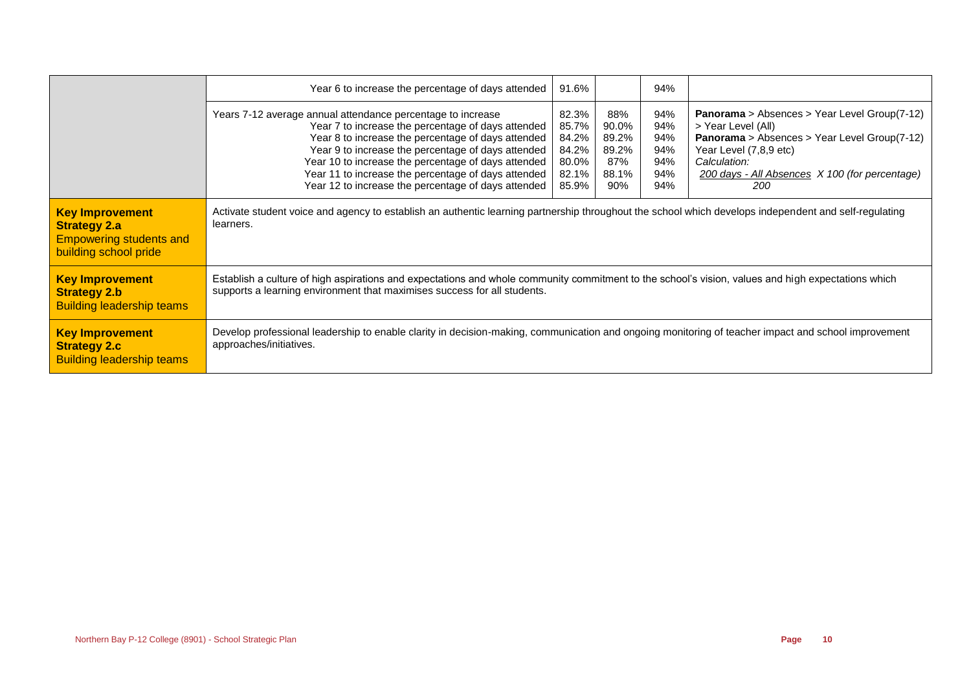|                                                                                                          | Year 6 to increase the percentage of days attended                                                                                                                                                                                                                                                                                                                                                 | 91.6%                                                       |                                                       | 94%                                           |                                                                                                                                                                                                                                     |  |
|----------------------------------------------------------------------------------------------------------|----------------------------------------------------------------------------------------------------------------------------------------------------------------------------------------------------------------------------------------------------------------------------------------------------------------------------------------------------------------------------------------------------|-------------------------------------------------------------|-------------------------------------------------------|-----------------------------------------------|-------------------------------------------------------------------------------------------------------------------------------------------------------------------------------------------------------------------------------------|--|
|                                                                                                          | Years 7-12 average annual attendance percentage to increase<br>Year 7 to increase the percentage of days attended<br>Year 8 to increase the percentage of days attended<br>Year 9 to increase the percentage of days attended<br>Year 10 to increase the percentage of days attended<br>Year 11 to increase the percentage of days attended<br>Year 12 to increase the percentage of days attended | 82.3%<br>85.7%<br>84.2%<br>84.2%<br>80.0%<br>82.1%<br>85.9% | 88%<br>90.0%<br>89.2%<br>89.2%<br>87%<br>88.1%<br>90% | 94%<br>94%<br>94%<br>94%<br>94%<br>94%<br>94% | <b>Panorama</b> > Absences > Year Level Group(7-12)<br>> Year Level (All)<br><b>Panorama</b> > Absences > Year Level Group(7-12)<br>Year Level (7,8,9 etc)<br>Calculation:<br>200 days - All Absences X 100 (for percentage)<br>200 |  |
| <b>Key Improvement</b><br><b>Strategy 2.a</b><br><b>Empowering students and</b><br>building school pride | Activate student voice and agency to establish an authentic learning partnership throughout the school which develops independent and self-regulating<br>learners.                                                                                                                                                                                                                                 |                                                             |                                                       |                                               |                                                                                                                                                                                                                                     |  |
| <b>Key Improvement</b><br><b>Strategy 2.b</b><br><b>Building leadership teams</b>                        | Establish a culture of high aspirations and expectations and whole community commitment to the school's vision, values and high expectations which<br>supports a learning environment that maximises success for all students.                                                                                                                                                                     |                                                             |                                                       |                                               |                                                                                                                                                                                                                                     |  |
| <b>Key Improvement</b><br><b>Strategy 2.c</b><br><b>Building leadership teams</b>                        | Develop professional leadership to enable clarity in decision-making, communication and ongoing monitoring of teacher impact and school improvement<br>approaches/initiatives.                                                                                                                                                                                                                     |                                                             |                                                       |                                               |                                                                                                                                                                                                                                     |  |